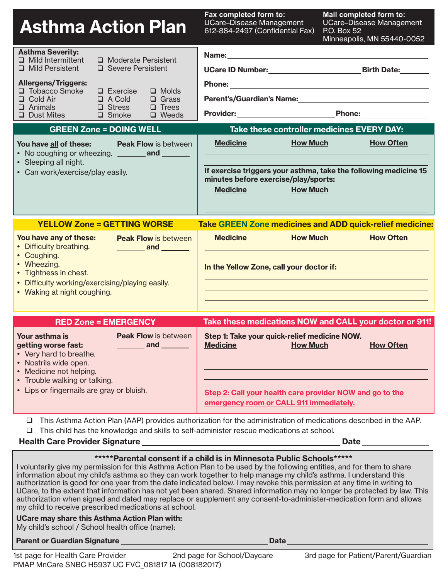| <b>Asthma Action Plan</b>                                                                                                                                                                                                                    | Fax completed form to:<br>Mail completed form to:<br><b>UCare-Disease Management</b><br><b>UCare-Disease Management</b><br>612-884-2497 (Confidential Fax)<br>P.O. Box 52<br>Minneapolis, MN 55440-0052  |
|----------------------------------------------------------------------------------------------------------------------------------------------------------------------------------------------------------------------------------------------|----------------------------------------------------------------------------------------------------------------------------------------------------------------------------------------------------------|
| <b>Asthma Severity:</b><br>$\Box$ Mild Intermittent<br>□ Moderate Persistent<br>I Mild Persistent<br>□ Severe Persistent                                                                                                                     |                                                                                                                                                                                                          |
| <b>Allergens/Triggers:</b><br>□ Tobacco Smoke<br>$\Box$ Molds<br>$\Box$ Exercise<br>$\Box$ A Cold<br>$\Box$ Cold Air<br>$\Box$ Grass<br>$\Box$ Trees<br>$\Box$ Animals<br>$\Box$ Stress<br>$\Box$ Dust Mites<br>$\Box$ Smoke<br>$\Box$ Weeds | Parent's/Guardian's Name: Names<br>Provider: Phone:                                                                                                                                                      |
| <b>GREEN Zone = DOING WELL</b>                                                                                                                                                                                                               | Take these controller medicines EVERY DAY:                                                                                                                                                               |
| You have all of these: Peak Flow is between<br>• Sleeping all night.<br>• Can work/exercise/play easily.                                                                                                                                     | <b>How Much</b><br><b>Medicine</b><br><b>How Often</b><br>If exercise triggers your asthma, take the following medicine 15<br>minutes before exercise/play/sports:<br><b>Medicine</b><br><b>How Much</b> |
| <b>YELLOW Zone = GETTING WORSE</b>                                                                                                                                                                                                           | <b>Take GREEN Zone medicines and ADD quick-relief medicine:</b>                                                                                                                                          |
| You have any of these:<br><b>Peak Flow is between</b><br>• Difficulty breathing.<br><u>________</u> and _______                                                                                                                              | <b>Medicine</b><br><b>How Much</b><br><b>How Often</b>                                                                                                                                                   |
| • Coughing.<br>• Wheezing.<br>• Tightness in chest.<br>• Difficulty working/exercising/playing easily.<br>• Waking at night coughing.                                                                                                        | In the Yellow Zone, call your doctor if:                                                                                                                                                                 |
| <b>RED Zone = EMERGENCY</b>                                                                                                                                                                                                                  | Take these medications NOW and CALL your doctor or 911!                                                                                                                                                  |
| <b>Peak Flow is between</b><br>Your asthma is<br>$\frac{1}{\sqrt{1-\frac{1}{2}}}\$ and $\frac{1}{\sqrt{1-\frac{1}{2}}}\$<br>getting worse fast:<br>• Very hard to breathe.<br>• Nostrils wide open.                                          | Step 1: Take your quick-relief medicine NOW.<br><b>Medicine</b><br><b>How Much</b><br><b>How Often</b>                                                                                                   |

| <b>Health Care Provider Signature</b> | <b>Date</b> |
|---------------------------------------|-------------|
|                                       |             |

 $\Box$  This child has the knowledge and skills to self-administer rescue medications at school.

#### **\*\*\*\*\*Parental consent if a child is in Minnesota Public Schools\*\*\*\*\***

This Asthma Action Plan (AAP) provides authorization for the administration of medications described in the AAP.

I voluntarily give my permission for this Asthma Action Plan to be used by the following entities, and for them to share information about my child's asthma so they can work together to help manage my child's asthma. I understand this authorization is good for one year from the date indicated below. I may revoke this permission at any time in writing to UCare, to the extent that information has not yet been shared. Shared information may no longer be protected by law. This authorization when signed and dated may replace or supplement any consent-to-administer-medication form and allows my child to receive prescribed medications at school.

#### **UCare may share this Asthma Action Plan with:**

My child's school / School health office (name):

#### **Parent or Guardian Signature Date According to the Contract of Contract Date**

• Medicine not helping. • Trouble walking or talking.

Lips or fingernails are gray or bluish.

**Step 2: Call your health care provider NOW and go to the** 

**emergency room or CALL 911 immediately.**

1st page for Health Care Provider 2nd page for School/Daycare 3rd page for Patient/Parent/Guardian PMAP MnCare SNBC H5937 UC FVC\_081817 IA (008182017)